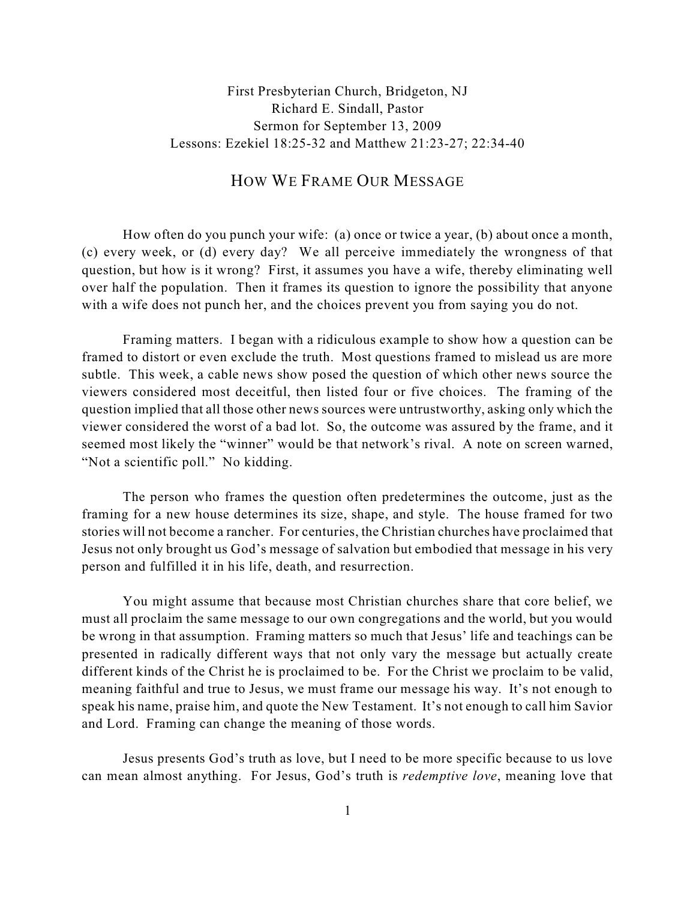## First Presbyterian Church, Bridgeton, NJ Richard E. Sindall, Pastor Sermon for September 13, 2009 Lessons: Ezekiel 18:25-32 and Matthew 21:23-27; 22:34-40

## HOW WE FRAME OUR MESSAGE

How often do you punch your wife: (a) once or twice a year, (b) about once a month, (c) every week, or (d) every day? We all perceive immediately the wrongness of that question, but how is it wrong? First, it assumes you have a wife, thereby eliminating well over half the population. Then it frames its question to ignore the possibility that anyone with a wife does not punch her, and the choices prevent you from saying you do not.

Framing matters. I began with a ridiculous example to show how a question can be framed to distort or even exclude the truth. Most questions framed to mislead us are more subtle. This week, a cable news show posed the question of which other news source the viewers considered most deceitful, then listed four or five choices. The framing of the question implied that all those other news sources were untrustworthy, asking only which the viewer considered the worst of a bad lot. So, the outcome was assured by the frame, and it seemed most likely the "winner" would be that network's rival. A note on screen warned, "Not a scientific poll." No kidding.

The person who frames the question often predetermines the outcome, just as the framing for a new house determines its size, shape, and style. The house framed for two stories will not become a rancher. For centuries, the Christian churches have proclaimed that Jesus not only brought us God's message of salvation but embodied that message in his very person and fulfilled it in his life, death, and resurrection.

You might assume that because most Christian churches share that core belief, we must all proclaim the same message to our own congregations and the world, but you would be wrong in that assumption. Framing matters so much that Jesus' life and teachings can be presented in radically different ways that not only vary the message but actually create different kinds of the Christ he is proclaimed to be. For the Christ we proclaim to be valid, meaning faithful and true to Jesus, we must frame our message his way. It's not enough to speak his name, praise him, and quote the New Testament. It's not enough to call him Savior and Lord. Framing can change the meaning of those words.

Jesus presents God's truth as love, but I need to be more specific because to us love can mean almost anything. For Jesus, God's truth is *redemptive love*, meaning love that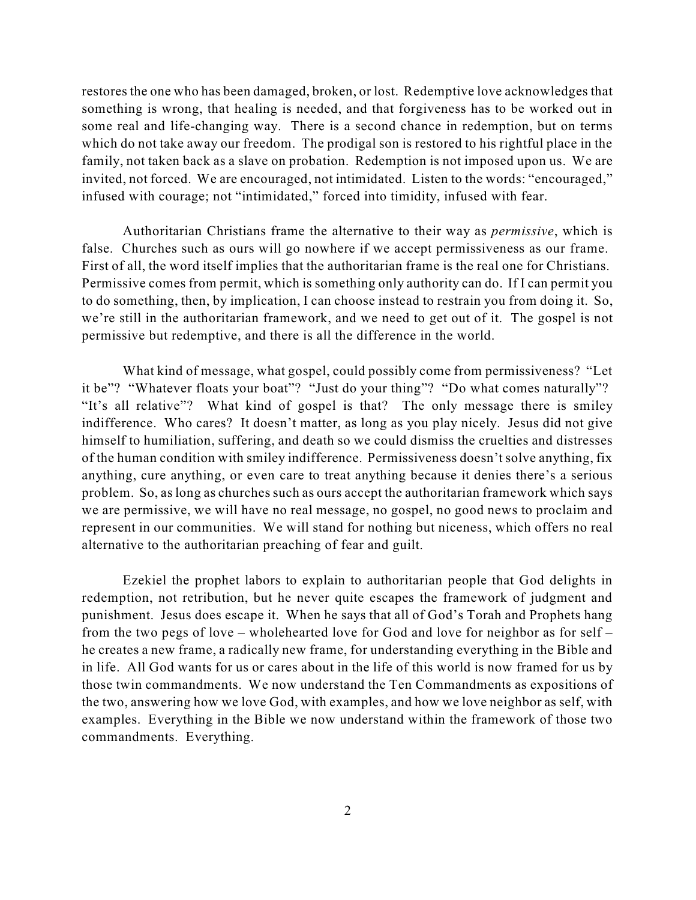restores the one who has been damaged, broken, or lost. Redemptive love acknowledges that something is wrong, that healing is needed, and that forgiveness has to be worked out in some real and life-changing way. There is a second chance in redemption, but on terms which do not take away our freedom. The prodigal son is restored to his rightful place in the family, not taken back as a slave on probation. Redemption is not imposed upon us. We are invited, not forced. We are encouraged, not intimidated. Listen to the words: "encouraged," infused with courage; not "intimidated," forced into timidity, infused with fear.

Authoritarian Christians frame the alternative to their way as *permissive*, which is false. Churches such as ours will go nowhere if we accept permissiveness as our frame. First of all, the word itself implies that the authoritarian frame is the real one for Christians. Permissive comes from permit, which is something only authority can do. If I can permit you to do something, then, by implication, I can choose instead to restrain you from doing it. So, we're still in the authoritarian framework, and we need to get out of it. The gospel is not permissive but redemptive, and there is all the difference in the world.

What kind of message, what gospel, could possibly come from permissiveness? "Let it be"? "Whatever floats your boat"? "Just do your thing"? "Do what comes naturally"? "It's all relative"? What kind of gospel is that? The only message there is smiley indifference. Who cares? It doesn't matter, as long as you play nicely. Jesus did not give himself to humiliation, suffering, and death so we could dismiss the cruelties and distresses of the human condition with smiley indifference. Permissiveness doesn't solve anything, fix anything, cure anything, or even care to treat anything because it denies there's a serious problem. So, as long as churches such as ours accept the authoritarian framework which says we are permissive, we will have no real message, no gospel, no good news to proclaim and represent in our communities. We will stand for nothing but niceness, which offers no real alternative to the authoritarian preaching of fear and guilt.

Ezekiel the prophet labors to explain to authoritarian people that God delights in redemption, not retribution, but he never quite escapes the framework of judgment and punishment. Jesus does escape it. When he says that all of God's Torah and Prophets hang from the two pegs of love – wholehearted love for God and love for neighbor as for self – he creates a new frame, a radically new frame, for understanding everything in the Bible and in life. All God wants for us or cares about in the life of this world is now framed for us by those twin commandments. We now understand the Ten Commandments as expositions of the two, answering how we love God, with examples, and how we love neighbor as self, with examples. Everything in the Bible we now understand within the framework of those two commandments. Everything.